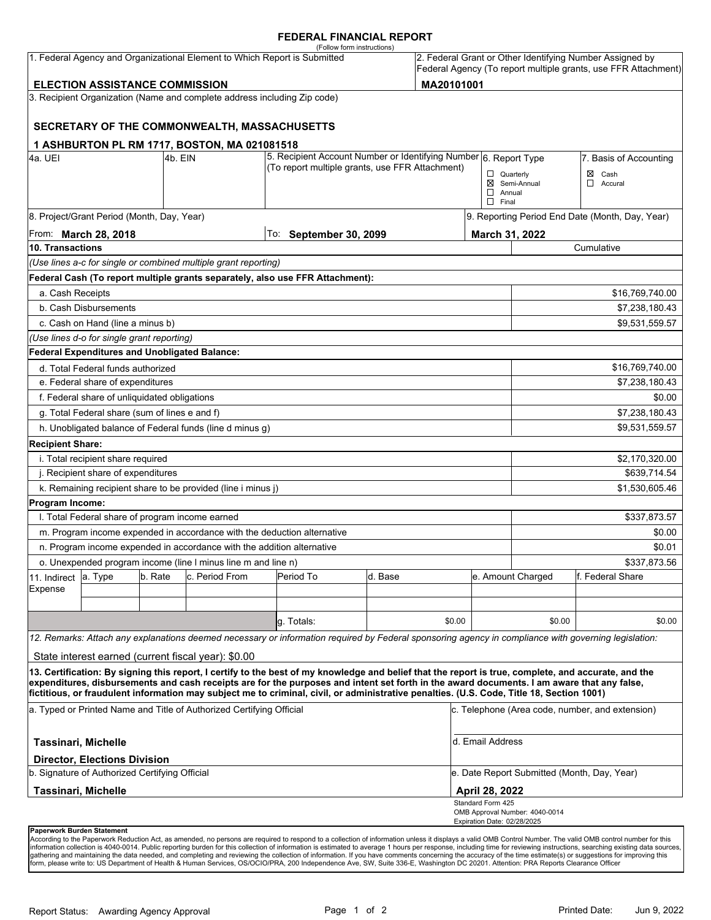#### **FEDERAL FINANCIAL REPORT**

|                                                                                                   |                                                      |  |                                                                          | (Follow form instructions)                                                                                                                           |                   |        |                                                  |                                                 | 2. Federal Grant or Other Identifying Number Assigned by       |  |
|---------------------------------------------------------------------------------------------------|------------------------------------------------------|--|--------------------------------------------------------------------------|------------------------------------------------------------------------------------------------------------------------------------------------------|-------------------|--------|--------------------------------------------------|-------------------------------------------------|----------------------------------------------------------------|--|
| 1. Federal Agency and Organizational Element to Which Report is Submitted                         |                                                      |  |                                                                          |                                                                                                                                                      |                   |        |                                                  |                                                 | Federal Agency (To report multiple grants, use FFR Attachment) |  |
| MA20101001<br><b>ELECTION ASSISTANCE COMMISSION</b>                                               |                                                      |  |                                                                          |                                                                                                                                                      |                   |        |                                                  |                                                 |                                                                |  |
|                                                                                                   |                                                      |  | 3. Recipient Organization (Name and complete address including Zip code) |                                                                                                                                                      |                   |        |                                                  |                                                 |                                                                |  |
|                                                                                                   |                                                      |  |                                                                          |                                                                                                                                                      |                   |        |                                                  |                                                 |                                                                |  |
|                                                                                                   |                                                      |  | SECRETARY OF THE COMMONWEALTH, MASSACHUSETTS                             |                                                                                                                                                      |                   |        |                                                  |                                                 |                                                                |  |
|                                                                                                   |                                                      |  | 1 ASHBURTON PL RM 1717, BOSTON, MA 021081518                             |                                                                                                                                                      |                   |        |                                                  |                                                 |                                                                |  |
| l4a. UEI<br>4b. EIN                                                                               |                                                      |  |                                                                          | 5. Recipient Account Number or Identifying Number 6. Report Type<br>(To report multiple grants, use FFR Attachment)                                  |                   |        | 7. Basis of Accounting                           |                                                 |                                                                |  |
|                                                                                                   |                                                      |  |                                                                          |                                                                                                                                                      |                   |        | $\Box$ Quarterly                                 |                                                 | $\boxtimes$ Cash                                               |  |
|                                                                                                   |                                                      |  |                                                                          |                                                                                                                                                      |                   |        | $\Box$ Annual                                    | ⊠ Semi-Annual                                   | ◻<br>Accural                                                   |  |
|                                                                                                   |                                                      |  |                                                                          | $\Box$ Final                                                                                                                                         |                   |        |                                                  |                                                 |                                                                |  |
|                                                                                                   | 8. Project/Grant Period (Month, Day, Year)           |  |                                                                          |                                                                                                                                                      |                   |        |                                                  | 9. Reporting Period End Date (Month, Day, Year) |                                                                |  |
| From: <b>March 28, 2018</b>                                                                       |                                                      |  |                                                                          | To: September 30, 2099                                                                                                                               |                   |        | March 31, 2022                                   |                                                 |                                                                |  |
| 10. Transactions<br>Cumulative<br>(Use lines a-c for single or combined multiple grant reporting) |                                                      |  |                                                                          |                                                                                                                                                      |                   |        |                                                  |                                                 |                                                                |  |
|                                                                                                   |                                                      |  |                                                                          | Federal Cash (To report multiple grants separately, also use FFR Attachment):                                                                        |                   |        |                                                  |                                                 |                                                                |  |
|                                                                                                   |                                                      |  |                                                                          |                                                                                                                                                      |                   |        |                                                  |                                                 |                                                                |  |
| a. Cash Receipts                                                                                  | b. Cash Disbursements                                |  |                                                                          |                                                                                                                                                      |                   |        |                                                  | \$16,769,740.00                                 |                                                                |  |
|                                                                                                   | c. Cash on Hand (line a minus b)                     |  |                                                                          |                                                                                                                                                      |                   |        |                                                  |                                                 | \$7,238,180.43<br>\$9,531,559.57                               |  |
|                                                                                                   | (Use lines d-o for single grant reporting)           |  |                                                                          |                                                                                                                                                      |                   |        |                                                  |                                                 |                                                                |  |
|                                                                                                   | <b>Federal Expenditures and Unobligated Balance:</b> |  |                                                                          |                                                                                                                                                      |                   |        |                                                  |                                                 |                                                                |  |
|                                                                                                   | d. Total Federal funds authorized                    |  |                                                                          |                                                                                                                                                      |                   |        |                                                  |                                                 | \$16,769,740.00                                                |  |
| e. Federal share of expenditures                                                                  |                                                      |  |                                                                          |                                                                                                                                                      |                   |        |                                                  | \$7,238,180.43                                  |                                                                |  |
|                                                                                                   |                                                      |  |                                                                          |                                                                                                                                                      |                   |        |                                                  |                                                 | \$0.00                                                         |  |
| f. Federal share of unliquidated obligations<br>g. Total Federal share (sum of lines e and f)     |                                                      |  |                                                                          |                                                                                                                                                      |                   |        |                                                  |                                                 | \$7,238,180.43                                                 |  |
|                                                                                                   |                                                      |  | h. Unobligated balance of Federal funds (line d minus g)                 |                                                                                                                                                      |                   |        |                                                  |                                                 | \$9,531,559.57                                                 |  |
|                                                                                                   |                                                      |  |                                                                          |                                                                                                                                                      |                   |        |                                                  |                                                 |                                                                |  |
| <b>Recipient Share:</b><br>i. Total recipient share required<br>\$2,170,320.00                    |                                                      |  |                                                                          |                                                                                                                                                      |                   |        |                                                  |                                                 |                                                                |  |
| j. Recipient share of expenditures                                                                |                                                      |  |                                                                          |                                                                                                                                                      |                   |        |                                                  | \$639,714.54                                    |                                                                |  |
| k. Remaining recipient share to be provided (line i minus j)                                      |                                                      |  |                                                                          |                                                                                                                                                      |                   |        |                                                  |                                                 | \$1,530,605.46                                                 |  |
| Program Income:                                                                                   |                                                      |  |                                                                          |                                                                                                                                                      |                   |        |                                                  |                                                 |                                                                |  |
| I. Total Federal share of program income earned<br>\$337,873.57                                   |                                                      |  |                                                                          |                                                                                                                                                      |                   |        |                                                  |                                                 |                                                                |  |
|                                                                                                   |                                                      |  | m. Program income expended in accordance with the deduction alternative  |                                                                                                                                                      |                   |        |                                                  |                                                 | \$0.00                                                         |  |
|                                                                                                   |                                                      |  | n. Program income expended in accordance with the addition alternative   |                                                                                                                                                      |                   |        |                                                  |                                                 | \$0.01                                                         |  |
| o. Unexpended program income (line I minus line m and line n)                                     |                                                      |  |                                                                          |                                                                                                                                                      |                   |        | \$337,873.56                                     |                                                 |                                                                |  |
| 11. Indirect                                                                                      | b. Rate<br>c. Period From<br>Period To<br>a. Type    |  | d. Base                                                                  |                                                                                                                                                      | e. Amount Charged |        | lf. Federal Share                                |                                                 |                                                                |  |
| Expense                                                                                           |                                                      |  |                                                                          |                                                                                                                                                      |                   |        |                                                  |                                                 |                                                                |  |
|                                                                                                   |                                                      |  |                                                                          |                                                                                                                                                      |                   |        |                                                  |                                                 |                                                                |  |
|                                                                                                   |                                                      |  |                                                                          | g. Totals:                                                                                                                                           |                   | \$0.00 |                                                  | \$0.00                                          | \$0.00                                                         |  |
|                                                                                                   |                                                      |  |                                                                          | 12. Remarks: Attach any explanations deemed necessary or information required by Federal sponsoring agency in compliance with governing legislation: |                   |        |                                                  |                                                 |                                                                |  |
|                                                                                                   |                                                      |  | State interest earned (current fiscal year): \$0.00                      |                                                                                                                                                      |                   |        |                                                  |                                                 |                                                                |  |
|                                                                                                   |                                                      |  |                                                                          | 13. Certification: By signing this report, I certify to the best of my knowledge and belief that the report is true, complete, and accurate, and the |                   |        |                                                  |                                                 |                                                                |  |
|                                                                                                   |                                                      |  |                                                                          | expenditures, disbursements and cash receipts are for the purposes and intent set forth in the award documents. I am aware that any false,           |                   |        |                                                  |                                                 |                                                                |  |
|                                                                                                   |                                                      |  |                                                                          | fictitious, or fraudulent information may subject me to criminal, civil, or administrative penalties. (U.S. Code, Title 18, Section 1001)            |                   |        |                                                  |                                                 |                                                                |  |
| a. Typed or Printed Name and Title of Authorized Certifying Official                              |                                                      |  |                                                                          |                                                                                                                                                      |                   |        | c. Telephone (Area code, number, and extension)  |                                                 |                                                                |  |
| <b>Tassinari, Michelle</b>                                                                        |                                                      |  |                                                                          |                                                                                                                                                      |                   |        | d. Email Address                                 |                                                 |                                                                |  |
|                                                                                                   | <b>Director, Elections Division</b>                  |  |                                                                          |                                                                                                                                                      |                   |        |                                                  |                                                 |                                                                |  |
| b. Signature of Authorized Certifying Official                                                    |                                                      |  |                                                                          |                                                                                                                                                      |                   |        | e. Date Report Submitted (Month, Day, Year)      |                                                 |                                                                |  |
| Tassinari, Michelle                                                                               |                                                      |  |                                                                          |                                                                                                                                                      |                   |        | <b>April 28, 2022</b>                            |                                                 |                                                                |  |
|                                                                                                   |                                                      |  |                                                                          |                                                                                                                                                      |                   |        | Standard Form 425<br>Expiration Date: 02/28/2025 | OMB Approval Number: 4040-0014                  |                                                                |  |
| Paperwork Burden Statement                                                                        |                                                      |  |                                                                          |                                                                                                                                                      |                   |        |                                                  |                                                 |                                                                |  |

According to the Paperwork Reduction Act, as amended, no persons are required to respond to a collection of information unless it displays a valid OMB Control Number. The valid OMB control number for this<br>information colle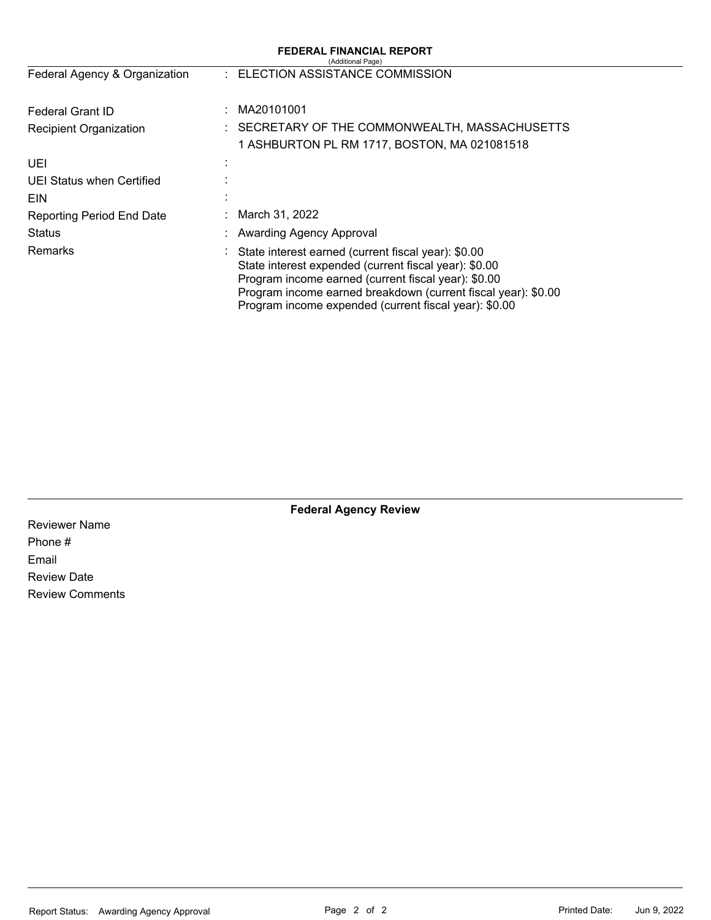|                               | <b>FEDERAL FINANCIAL REPORT</b><br>(Additional Page)                                                                                                                                                                                                                                            |
|-------------------------------|-------------------------------------------------------------------------------------------------------------------------------------------------------------------------------------------------------------------------------------------------------------------------------------------------|
| Federal Agency & Organization | : ELECTION ASSISTANCE COMMISSION                                                                                                                                                                                                                                                                |
| Federal Grant ID              | MA20101001                                                                                                                                                                                                                                                                                      |
| <b>Recipient Organization</b> | SECRETARY OF THE COMMONWEALTH, MASSACHUSETTS<br>1 ASHBURTON PL RM 1717, BOSTON, MA 021081518                                                                                                                                                                                                    |
| UEI                           |                                                                                                                                                                                                                                                                                                 |
| UEI Status when Certified     |                                                                                                                                                                                                                                                                                                 |
| <b>EIN</b>                    |                                                                                                                                                                                                                                                                                                 |
| Reporting Period End Date     | March 31, 2022                                                                                                                                                                                                                                                                                  |
| Status                        | Awarding Agency Approval                                                                                                                                                                                                                                                                        |
| <b>Remarks</b>                | : State interest earned (current fiscal year): \$0.00<br>State interest expended (current fiscal year): \$0.00<br>Program income earned (current fiscal year): \$0.00<br>Program income earned breakdown (current fiscal year): \$0.00<br>Program income expended (current fiscal year): \$0.00 |

**Federal Agency Review** 

Reviewer Name Phone # Email Review Date Review Comments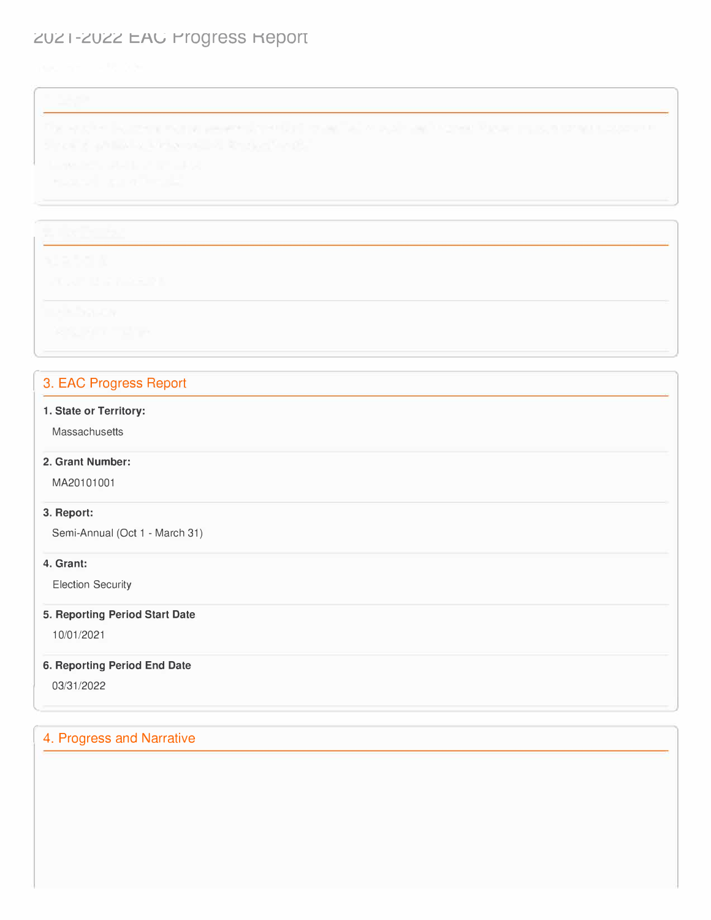# ZUZ I-ZUZZ EAU Progress Report

# 3. EAC Progress Report

#### **1. State or Territory:**

Massachusetts

### **2. Grant Number:**

MA20101001

#### **3. Report:**

Semi-Annual (Oct 1 - March 31)

## **4. Grant:**

Election Security

## **5. Reporting Period Start Date**

10/01/2021

## **6. Reporting Period End Date**

03/31/2022

l

# 4. Progress and Narrative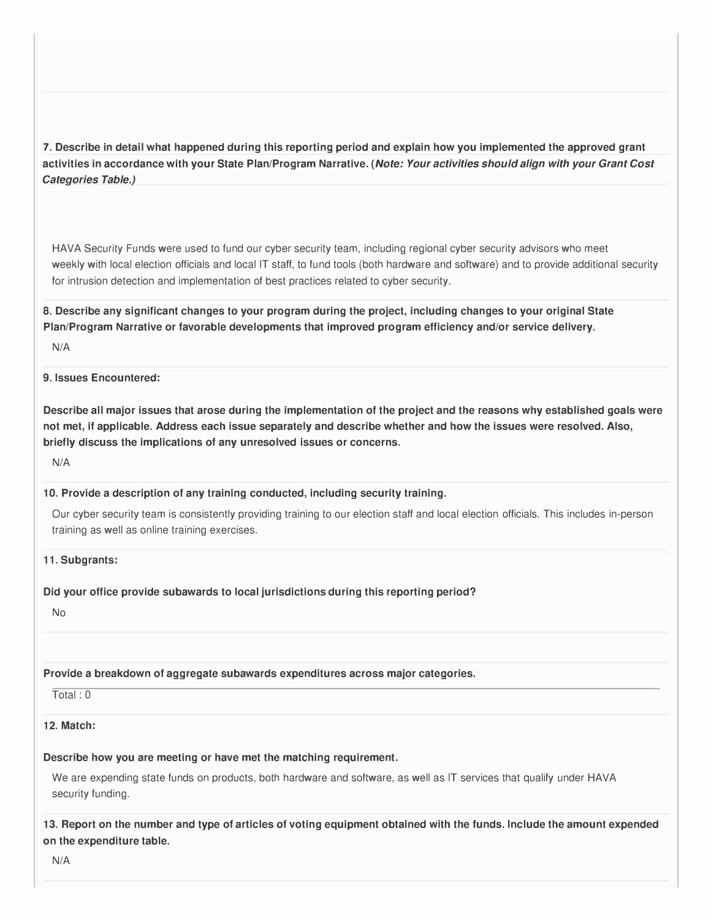**7. Describe in detail what happened during this reporting period and explain how you implemented the approved grant activities in accordance with your State Plan/Program Narrative.** *(Note: Your activities should align with your Grant Cost Categories Table.)* 

HAVA Security Funds were used to fund our cyber security team, including regional cyber security advisors who meet weekly with local election officials and local IT staff, to fund tools (both hardware and software) and to provide additional security for intrusion detection and implementation of best practices related to cyber security.

**8. Describe any significant changes to your program during the project, including changes to your original State Plan/Program Narrative or favorable developments that improved program efficiency and/or service delivery.** 

N/A

#### **9. Issues Encountered:**

**Describe all major issues that arose during the implementation of the project and the reasons why established goals were not met, if applicable. Address each issue separately and describe whether and how the issues were resolved. Also, briefly discuss the implications of any unresolved issues or concerns.** 

N/A

#### **10. Provide a description of any training conducted, including security training.**

Our cyber security team is consistently providing training to our election staff and local election officials. This includes in-person training as well as online training exercises.

**11. Subgrants:**

#### **Did your office provide subawards to local jurisdictions during this reporting period?**

No

## **Provide a breakdown of aggregate subawards expenditures across major categories.**

Total: 0

## **12. Match:**

## **Describe how you are meeting or have met the matching requirement.**

We are expending state funds on products, both hardware and software, as well as IT services that qualify under HAVA security funding.

**13. Report on the number and type of articles of voting equipment obtained with the funds. Include the amount expended on the expenditure table.** 

N/A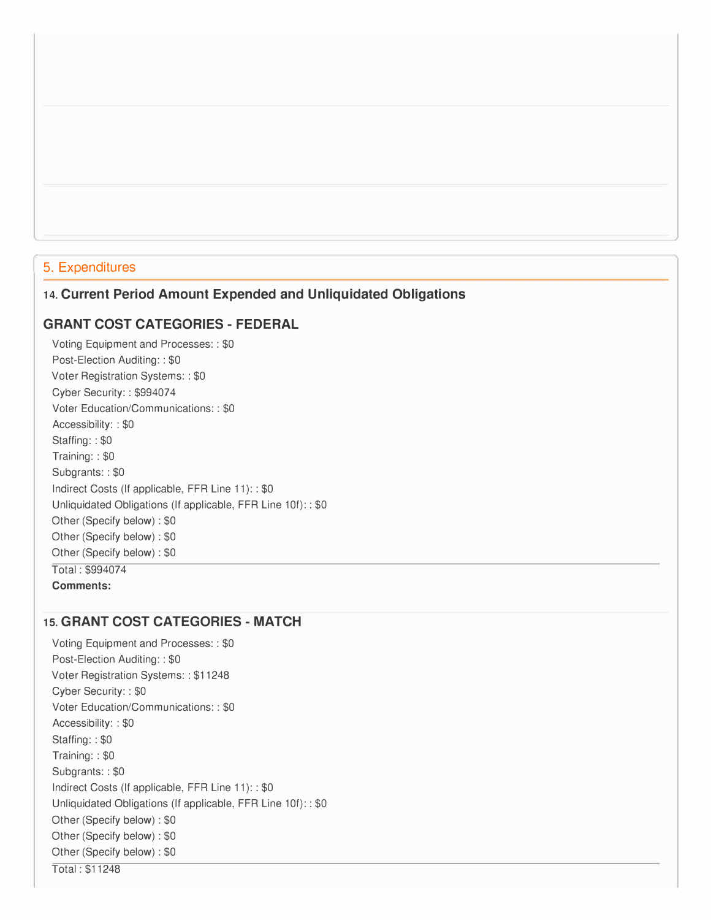## 5. Expenditures

### **14. Current Period Amount Expended and Unliquidated Obligations**

### **GRANT COST CATEGORIES- FEDERAL**

Voting Equipment and Processes: : \$0 Post-Election Auditing:: \$0 Voter Registration Systems: : \$0 Cyber Security: : \$99407 4 Voter Education/Communications: : \$0 Accessibility: : \$0 Staffing: : \$0 Training: : \$0 Subgrants: : \$0 Indirect Costs (If applicable, FFR Line 11): : \$0 Unliquidated Obligations (If applicable, FFR Line 10f): : \$0 Other (Specify below) : \$0 Other (Specify below) : \$0 Other (Specify below) : \$0 Total: \$994074 **Comments:** 

## **15. GRANT COST CATEGORIES- MATCH**

Voting Equipment and Processes: : \$0 Post-Election Auditing:: \$0 Voter Registration Systems: : \$11248 Cyber Security: : \$0 Voter Education/Communications: : \$0 Accessibility: : \$0 Staffing: : \$0 Training: : \$0 Subgrants: : \$0 Indirect Costs (If applicable, FFR Line 11): : \$0 Unliquidated Obligations (If applicable, FFR Line 10f): : \$0 Other (Specify below) : \$0 Other (Specify below) : \$0 Other (Specify below) : \$0 Total : \$11248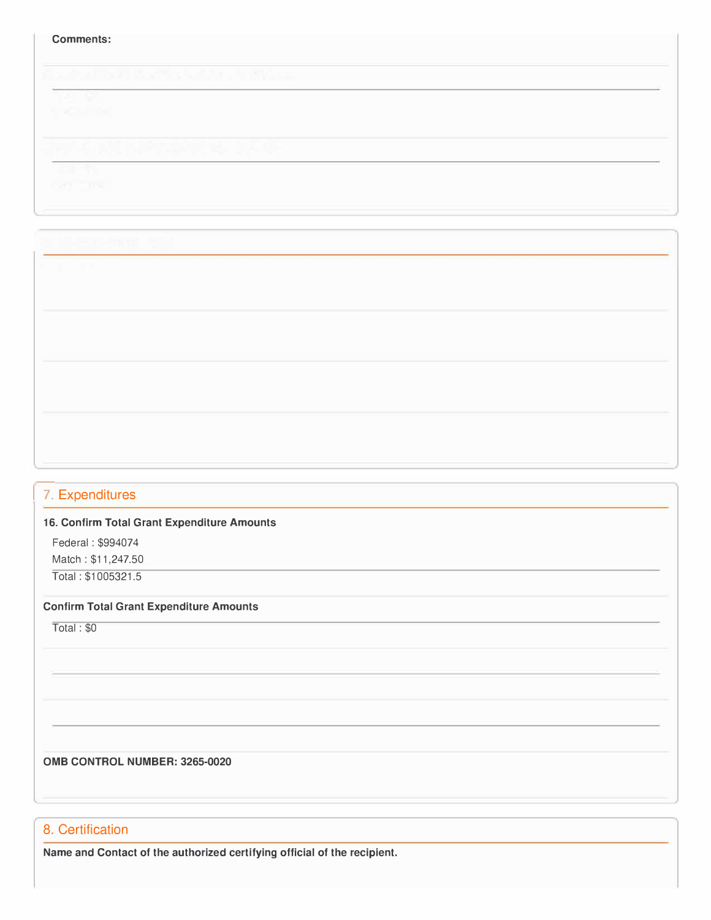#### **Comments:**

# 17. Expenditures

#### **16. Confirm Total Grant Expenditure Amounts**

Federal: \$994074 Match : \$[11,247.50](https://11,247.50) Total : \$1005321.5

**Confirm Total Grant Expenditure Amounts** 

Total: \$0

**0MB CONTROL NUMBER: 3265-0020** 

### 8. Certification

**Name and Contact of the authorized certifying official of the recipient.**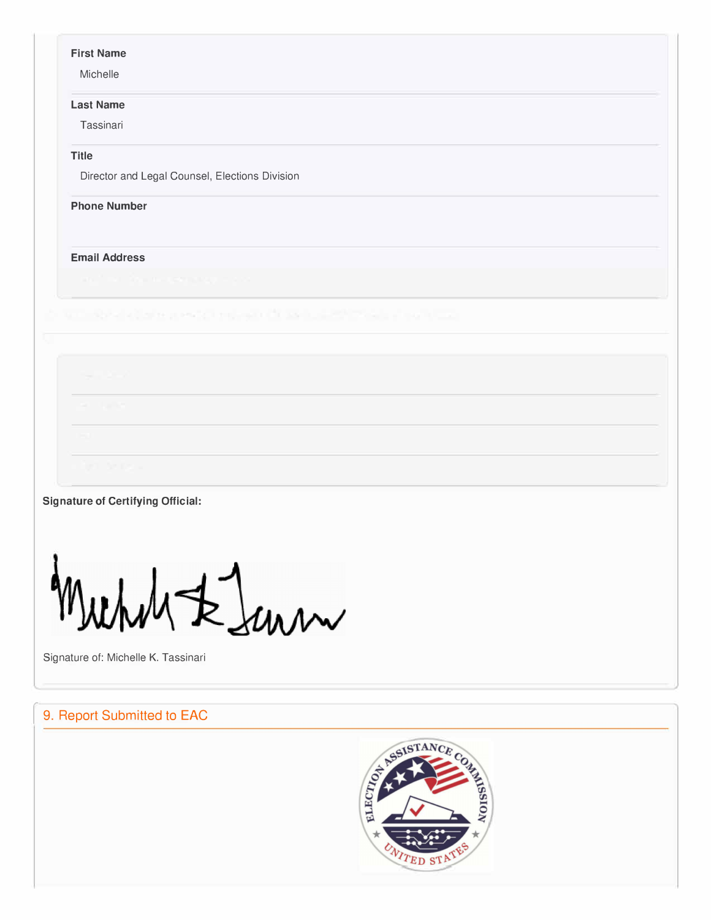#### **First Name**

Michelle

#### **Last Name**

Tassinari

## **Title**

Director and Legal Counsel, Elections Division

### **Phone Number**

#### **Email Address**

**Signature of Certifying Official:** 

 $\star$  lum

Signature of: Michelle K. Tassinari

# 9. Report Submitted to EAC